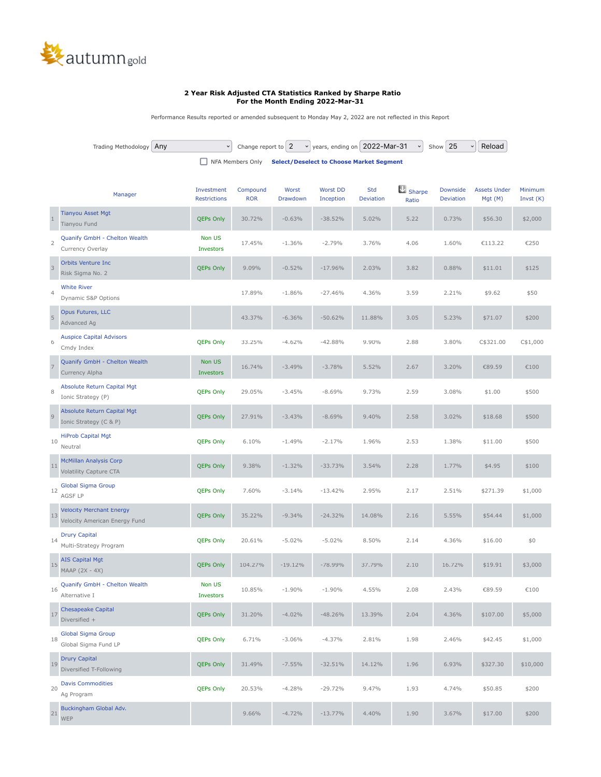

## **2 Year Risk Adjusted CTA Statistics Ranked by Sharpe Ratio For the Month Ending 2022-Mar-31**

Performance Results reported or amended subsequent to Monday May 2, 2022 are not reflected in this Report

|                    | Trading Methodology<br>Any                                       | $\checkmark$               | Change report to 2                              | $\check{~}$       |                              | years, ending on   2022-Mar-31 |                           | Show 25                      | Reload                         |                        |
|--------------------|------------------------------------------------------------------|----------------------------|-------------------------------------------------|-------------------|------------------------------|--------------------------------|---------------------------|------------------------------|--------------------------------|------------------------|
| □ NFA Members Only |                                                                  |                            | <b>Select/Deselect to Choose Market Segment</b> |                   |                              |                                |                           |                              |                                |                        |
|                    | Manager                                                          | Investment<br>Restrictions | Compound<br><b>ROR</b>                          | Worst<br>Drawdown | <b>Worst DD</b><br>Inception | Std<br>Deviation               | $\bigcup$ Sharpe<br>Ratio | Downside<br><b>Deviation</b> | <b>Assets Under</b><br>Mgt (M) | Minimum<br>Invst $(K)$ |
| $\mathbf{1}$       | <b>Tianyou Asset Mgt</b><br>Tianyou Fund                         | <b>QEPs Only</b>           | 30.72%                                          | $-0.63%$          | $-38.52%$                    | 5.02%                          | 5.22                      | 0.73%                        | \$56.30                        | \$2,000                |
| $\overline{2}$     | Quanify GmbH - Chelton Wealth<br>Currency Overlay                | Non US<br>Investors        | 17.45%                                          | $-1.36%$          | $-2.79%$                     | 3.76%                          | 4.06                      | 1.60%                        | €113.22                        | €250                   |
| $\overline{3}$     | <b>Orbits Venture Inc.</b><br>Risk Sigma No. 2                   | QEPs Only                  | 9.09%                                           | $-0.52%$          | $-17.96%$                    | 2.03%                          | 3.82                      | 0.88%                        | \$11.01                        | \$125                  |
| $\overline{4}$     | <b>White River</b><br>Dynamic S&P Options                        |                            | 17.89%                                          | $-1.86%$          | $-27.46%$                    | 4.36%                          | 3.59                      | 2.21%                        | \$9.62                         | \$50                   |
| $\overline{5}$     | Opus Futures, LLC<br>Advanced Ag                                 |                            | 43.37%                                          | $-6.36%$          | $-50.62%$                    | 11.88%                         | 3.05                      | 5.23%                        | \$71.07                        | \$200                  |
| 6                  | <b>Auspice Capital Advisors</b><br>Cmdy Index                    | <b>QEPs Only</b>           | 33.25%                                          | $-4.62%$          | $-42.88%$                    | 9.90%                          | 2.88                      | 3.80%                        | C\$321.00                      | C\$1,000               |
| $\overline{7}$     | Quanify GmbH - Chelton Wealth<br>Currency Alpha                  | Non US<br>Investors        | 16.74%                                          | $-3.49%$          | $-3.78%$                     | 5.52%                          | 2.67                      | 3.20%                        | €89.59                         | €100                   |
| 8                  | Absolute Return Capital Mgt<br>Ionic Strategy (P)                | <b>QEPs Only</b>           | 29.05%                                          | $-3.45%$          | $-8.69%$                     | 9.73%                          | 2.59                      | 3.08%                        | \$1.00                         | \$500                  |
| $\overline{9}$     | Absolute Return Capital Mgt<br>Ionic Strategy (C & P)            | <b>QEPs Only</b>           | 27.91%                                          | $-3.43%$          | $-8.69%$                     | 9.40%                          | 2.58                      | 3.02%                        | \$18.68                        | \$500                  |
| 10                 | <b>HiProb Capital Mgt</b><br>Neutral                             | <b>QEPs Only</b>           | 6.10%                                           | $-1.49%$          | $-2.17%$                     | 1.96%                          | 2.53                      | 1.38%                        | \$11.00                        | \$500                  |
| 11                 | <b>McMillan Analysis Corp</b><br>Volatility Capture CTA          | QEPs Only                  | 9.38%                                           | $-1.32%$          | $-33.73%$                    | 3.54%                          | 2.28                      | 1.77%                        | \$4.95                         | \$100                  |
| 12                 | <b>Global Sigma Group</b><br>AGSF LP                             | <b>QEPs Only</b>           | 7.60%                                           | $-3.14%$          | $-13.42%$                    | 2.95%                          | 2.17                      | 2.51%                        | \$271.39                       | \$1,000                |
| 13                 | <b>Velocity Merchant Energy</b><br>Velocity American Energy Fund | QEPs Only                  | 35.22%                                          | $-9.34%$          | $-24.32%$                    | 14.08%                         | 2.16                      | 5.55%                        | \$54.44                        | \$1,000                |
| 14                 | <b>Drury Capital</b><br>Multi-Strategy Program                   | <b>QEPs Only</b>           | 20.61%                                          | $-5.02%$          | $-5.02%$                     | 8.50%                          | 2.14                      | 4.36%                        | \$16.00                        | \$0                    |
| 15                 | <b>AIS Capital Mgt</b><br>MAAP (2X - 4X)                         | <b>QEPs Only</b>           | 104.27%                                         | $-19.12%$         | $-78.99%$                    | 37.79%                         | 2.10                      | 16.72%                       | \$19.91                        | \$3,000                |
| 16                 | Quanify GmbH - Chelton Wealth<br>Alternative I                   | Non US<br>Investors        | 10.85%                                          | $-1.90%$          | $-1.90%$                     | 4.55%                          | 2.08                      | 2.43%                        | €89.59                         | €100                   |
| $17$               | <b>Chesapeake Capital</b><br>Diversified +                       | <b>QEPs Only</b>           | 31.20%                                          | $-4.02%$          | $-48.26%$                    | 13.39%                         | 2.04                      | 4.36%                        | \$107.00                       | \$5,000                |
| 18                 | <b>Global Sigma Group</b><br>Global Sigma Fund LP                | <b>QEPs Only</b>           | 6.71%                                           | $-3.06%$          | $-4.37%$                     | 2.81%                          | 1.98                      | 2.46%                        | \$42.45                        | \$1,000                |
| 19                 | <b>Drury Capital</b><br>Diversified T-Following                  | <b>QEPs Only</b>           | 31.49%                                          | $-7.55%$          | $-32.51%$                    | 14.12%                         | 1.96                      | 6.93%                        | \$327.30                       | \$10,000               |
| 20                 | <b>Davis Commodities</b><br>Ag Program                           | <b>QEPs Only</b>           | 20.53%                                          | $-4.28%$          | $-29.72%$                    | 9.47%                          | 1.93                      | 4.74%                        | \$50.85                        | \$200                  |
| 21                 | Buckingham Global Adv.<br>WEP                                    |                            | 9.66%                                           | $-4.72%$          | $-13.77%$                    | 4.40%                          | 1.90                      | 3.67%                        | \$17.00                        | \$200                  |